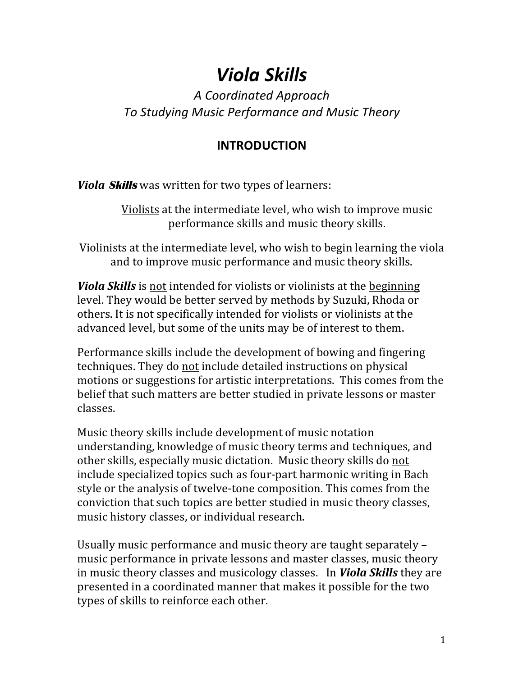# *Viola Skills*

## *A Coordinated Approach To Studying Music Performance and Music Theory*

### **INTRODUCTION**

*Viola Skills* was written for two types of learners:

Violists at the intermediate level, who wish to improve music performance skills and music theory skills.

Violinists at the intermediate level, who wish to begin learning the viola and to improve music performance and music theory skills.

*Viola Skills* is not intended for violists or violinists at the beginning level. They would be better served by methods by Suzuki, Rhoda or others. It is not specifically intended for violists or violinists at the advanced level, but some of the units may be of interest to them.

Performance skills include the development of bowing and fingering techniques. They do not include detailed instructions on physical motions or suggestions for artistic interpretations. This comes from the belief that such matters are better studied in private lessons or master classes.

Music theory skills include development of music notation understanding, knowledge of music theory terms and techniques, and other skills, especially music dictation. Music theory skills do not include specialized topics such as four-part harmonic writing in Bach style or the analysis of twelve-tone composition. This comes from the conviction that such topics are better studied in music theory classes, music history classes, or individual research.

Usually music performance and music theory are taught separately – music performance in private lessons and master classes, music theory in music theory classes and musicology classes. In **Viola Skills** they are presented in a coordinated manner that makes it possible for the two types of skills to reinforce each other.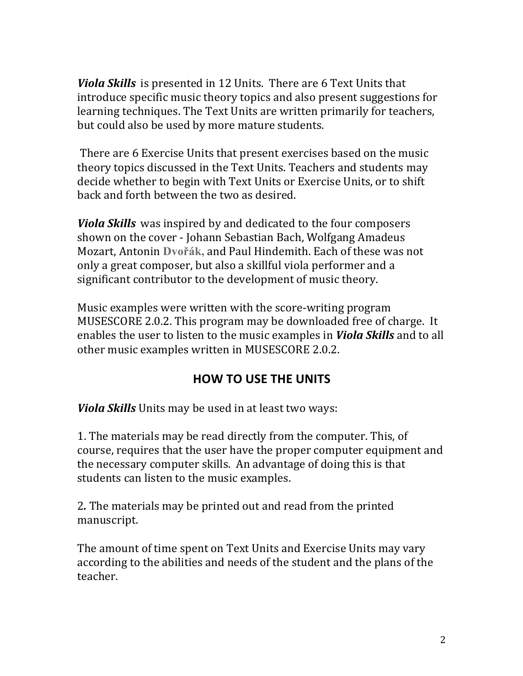*Viola Skills* is presented in 12 Units. There are 6 Text Units that introduce specific music theory topics and also present suggestions for learning techniques. The Text Units are written primarily for teachers, but could also be used by more mature students.

There are 6 Exercise Units that present exercises based on the music theory topics discussed in the Text Units. Teachers and students may decide whether to begin with Text Units or Exercise Units, or to shift back and forth between the two as desired.

*Viola Skills* was inspired by and dedicated to the four composers shown on the cover - Johann Sebastian Bach, Wolfgang Amadeus Mozart, Antonin **Dvořák,** and Paul Hindemith. Each of these was not only a great composer, but also a skillful viola performer and a significant contributor to the development of music theory.

Music examples were written with the score-writing program MUSESCORE 2.0.2. This program may be downloaded free of charge. It enables the user to listen to the music examples in *Viola Skills* and to all other music examples written in MUSESCORE 2.0.2.

#### **HOW TO USE THE UNITS**

*Viola Skills* Units may be used in at least two ways:

1. The materials may be read directly from the computer. This, of course, requires that the user have the proper computer equipment and the necessary computer skills. An advantage of doing this is that students can listen to the music examples.

2. The materials may be printed out and read from the printed manuscript. 

The amount of time spent on Text Units and Exercise Units may vary according to the abilities and needs of the student and the plans of the teacher.